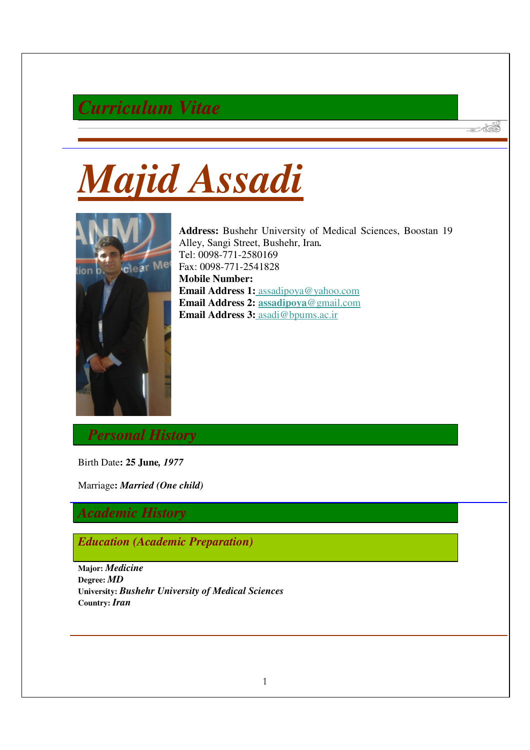# *Curriculum Vitae*





**Address:** Bushehr University of Medical Sciences, Boostan 19 Alley, Sangi Street, Bushehr, Iran*.*  Tel: 0098-771-2580169 Fax: 0098-771-2541828 **Mobile Number: Email Address 1:** assadipoya@yahoo.com **Email Address 2: assadipoya**@gmail.com **Email Address 3:** asadi@bpums.ac.ir

 $\mathscr{A}$ 

*Personal History*

Birth Date**: 25 June***, 1977* 

Marriage**:** *Married (One child)*

# *Academic History*

*Education (Academic Preparation)*

**Major:** *Medicine*  **Degree:** *MD*  **University:** *Bushehr University of Medical Sciences*  **Country:** *Iran*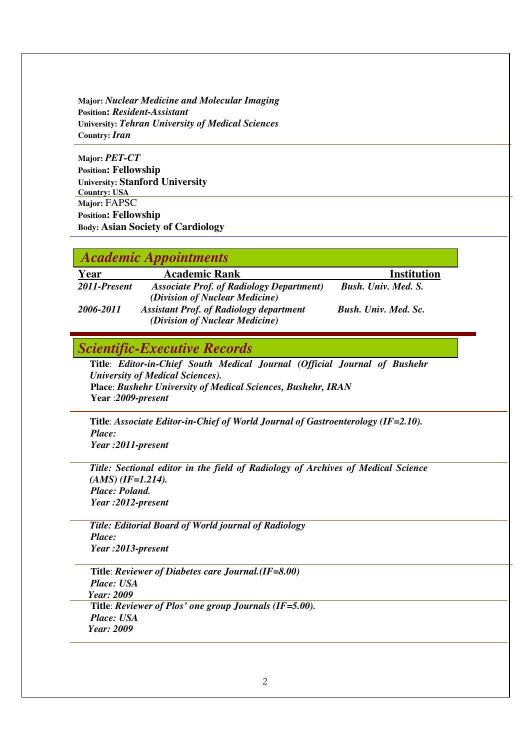**Major:** *Nuclear Medicine and Molecular Imaging*  **Position:** *Resident-Assistant*  **University:** *Tehran University of Medical Sciences* **Country:** *Iran* 

**Major:** *PET-CT*  **Position: Fellowship University: Stanford University Country: USA Major:** FAPSC **Position: Fellowship Body: Asian Society of Cardiology**

#### *Academic Appointments*

| Year         | <b>Academic Rank</b>                                                               | <b>Institution</b>          |
|--------------|------------------------------------------------------------------------------------|-----------------------------|
| 2011-Present | <b>Associate Prof. of Radiology Department</b> )<br>(Division of Nuclear Medicine) | <b>Bush.</b> Univ. Med. S.  |
| 2006-2011    | <b>Assistant Prof. of Radiology department</b><br>(Division of Nuclear Medicine)   | <b>Bush.</b> Univ. Med. Sc. |

### *Scientific-Executive Records*

**Title**: *Editor-in-Chief South Medical Journal (Official Journal of Bushehr University of Medical Sciences).* **Place**: *Bushehr University of Medical Sciences, Bushehr, IRAN* **Year** :*2009-present*

**Title**: *Associate Editor-in-Chief of World Journal of Gastroenterology (IF=2.10). Place: Year :2011-present* 

*Title: Sectional editor in the field of Radiology of Archives of Medical Science (AMS) (IF=1.214). Place: Poland. Year :2012-present* 

*Title: Editorial Board of World journal of Radiology Place: Year :2013-present* 

**Title**: *Reviewer of Diabetes care Journal.(IF=8.00) Place: USA Year: 2009*  **Title**: *Reviewer of Plos' one group Journals (IF=5.00). Place: USA Year: 2009*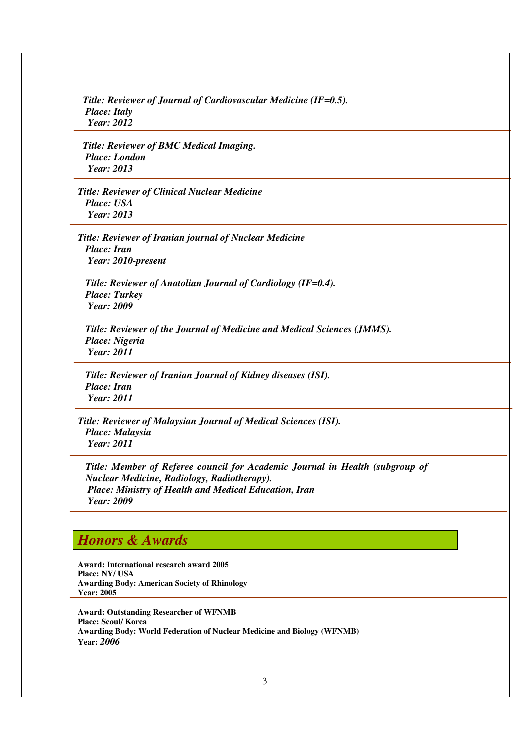*Title: Reviewer of Journal of Cardiovascular Medicine (IF=0.5). Place: Italy Year: 2012* 

 *Title: Reviewer of BMC Medical Imaging. Place: London Year: 2013* 

*Title: Reviewer of Clinical Nuclear Medicine Place: USA Year: 2013* 

*Title: Reviewer of Iranian journal of Nuclear Medicine Place: Iran Year: 2010-present* 

 *Title: Reviewer of Anatolian Journal of Cardiology (IF=0.4). Place: Turkey Year: 2009* 

 *Title: Reviewer of the Journal of Medicine and Medical Sciences (JMMS). Place: Nigeria Year: 2011* 

 *Title: Reviewer of Iranian Journal of Kidney diseases (ISI). Place: Iran Year: 2011* 

*Title: Reviewer of Malaysian Journal of Medical Sciences (ISI). Place: Malaysia Year: 2011* 

*Title: Member of Referee council for Academic Journal in Health (subgroup of Nuclear Medicine, Radiology, Radiotherapy). Place: Ministry of Health and Medical Education, Iran Year: 2009* 

### *Honors & Awards*

**Award: International research award 2005 Place: NY/ USA Awarding Body: American Society of Rhinology Year: 2005** 

**Award: Outstanding Researcher of WFNMB Place: Seoul/ Korea Awarding Body: World Federation of Nuclear Medicine and Biology (WFNMB) Year:** *2006*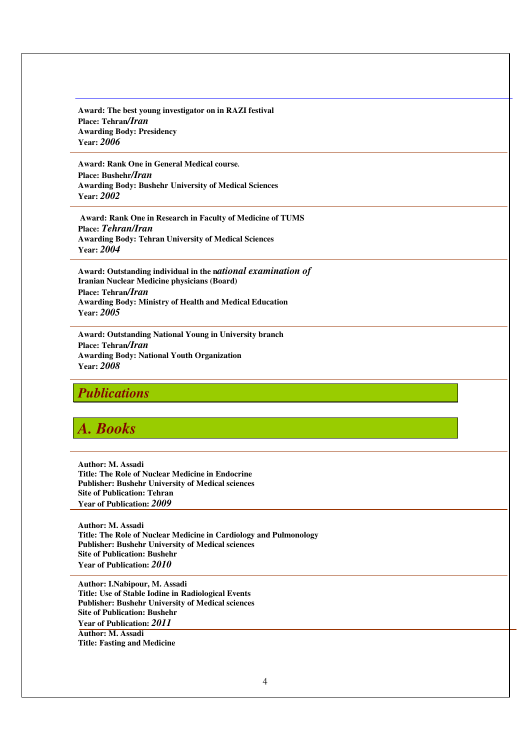**Award: The best young investigator on in RAZI festival Place: Tehran***/Iran*  **Awarding Body: Presidency Year:** *2006*

**Award: Rank One in General Medical course***.*  **Place: Bushehr***/Iran*  **Awarding Body: Bushehr University of Medical Sciences** **Year:** *2002* 

 **Award: Rank One in Research in Faculty of Medicine of TUMS Place:** *Tehran/Iran*  **Awarding Body: Tehran University of Medical Sciences Year:** *2004*

**Award: Outstanding individual in the n***ational examination of*  **Iranian Nuclear Medicine physicians (Board) Place: Tehran***/Iran*  **Awarding Body: Ministry of Health and Medical Education Year:** *2005* 

**Award: Outstanding National Young in University branch Place: Tehran***/Iran*  **Awarding Body: National Youth Organization Year:** *2008* 

#### *Publications*

# *A. Books*

**Author: M. Assadi Title: The Role of Nuclear Medicine in Endocrine Publisher: Bushehr University of Medical sciences Site of Publication: Tehran Year of Publication:** *2009* 

**Author: M. Assadi Title: The Role of Nuclear Medicine in Cardiology and Pulmonology Publisher: Bushehr University of Medical sciences Site of Publication: Bushehr Year of Publication:** *2010* 

**Author: I.Nabipour, M. Assadi Title: Use of Stable Iodine in Radiological Events Publisher: Bushehr University of Medical sciences Site of Publication: Bushehr Year of Publication:** *2011*

**Author: M. Assadi Title: Fasting and Medicine**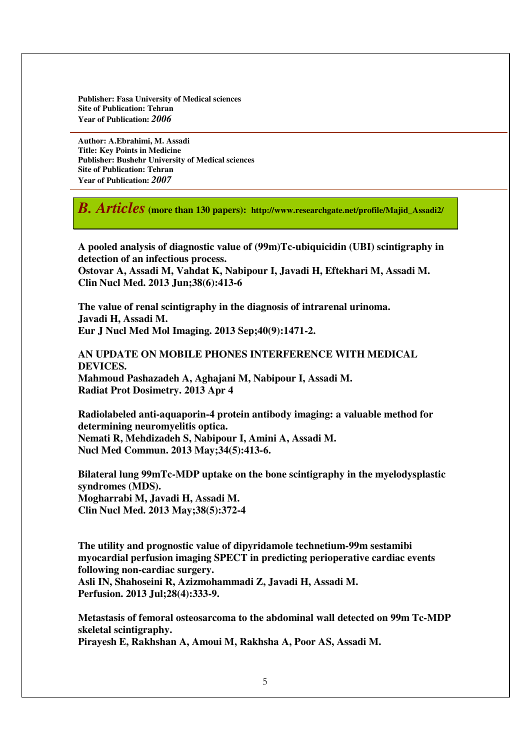**Publisher: Fasa University of Medical sciences Site of Publication: Tehran Year of Publication:** *2006* 

**Author: A.Ebrahimi, M. Assadi Title: Key Points in Medicine Publisher: Bushehr University of Medical sciences Site of Publication: Tehran Year of Publication:** *2007* 

*B. Articles* **(more than 130 papers): http://www.researchgate.net/profile/Majid\_Assadi2/** 

**A pooled analysis of diagnostic value of (99m)Tc-ubiquicidin (UBI) scintigraphy in detection of an infectious process. Ostovar A, Assadi M, Vahdat K, Nabipour I, Javadi H, Eftekhari M, Assadi M. Clin Nucl Med. 2013 Jun;38(6):413-6** 

**The value of renal scintigraphy in the diagnosis of intrarenal urinoma. Javadi H, Assadi M. Eur J Nucl Med Mol Imaging. 2013 Sep;40(9):1471-2.** 

**AN UPDATE ON MOBILE PHONES INTERFERENCE WITH MEDICAL DEVICES.** 

**Mahmoud Pashazadeh A, Aghajani M, Nabipour I, Assadi M. Radiat Prot Dosimetry. 2013 Apr 4** 

**Radiolabeled anti-aquaporin-4 protein antibody imaging: a valuable method for determining neuromyelitis optica. Nemati R, Mehdizadeh S, Nabipour I, Amini A, Assadi M. Nucl Med Commun. 2013 May;34(5):413-6.** 

**Bilateral lung 99mTc-MDP uptake on the bone scintigraphy in the myelodysplastic syndromes (MDS). Mogharrabi M, Javadi H, Assadi M. Clin Nucl Med. 2013 May;38(5):372-4** 

**The utility and prognostic value of dipyridamole technetium-99m sestamibi myocardial perfusion imaging SPECT in predicting perioperative cardiac events following non-cardiac surgery. Asli IN, Shahoseini R, Azizmohammadi Z, Javadi H, Assadi M. Perfusion. 2013 Jul;28(4):333-9.** 

**Metastasis of femoral osteosarcoma to the abdominal wall detected on 99m Tc-MDP skeletal scintigraphy. Pirayesh E, Rakhshan A, Amoui M, Rakhsha A, Poor AS, Assadi M.**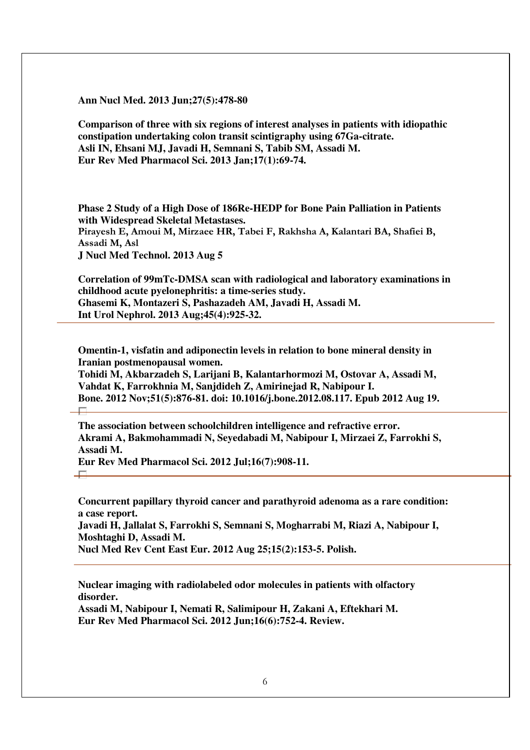**Ann Nucl Med. 2013 Jun;27(5):478-80** 

**Comparison of three with six regions of interest analyses in patients with idiopathic constipation undertaking colon transit scintigraphy using 67Ga-citrate. Asli IN, Ehsani MJ, Javadi H, Semnani S, Tabib SM, Assadi M. Eur Rev Med Pharmacol Sci. 2013 Jan;17(1):69-74.** 

**Phase 2 Study of a High Dose of 186Re-HEDP for Bone Pain Palliation in Patients with Widespread Skeletal Metastases.**  Pirayesh E, Amoui M, Mirzaee HR, Tabei F, Rakhsha A, Kalantari BA, Shafiei B, Assadi M, Asl **J Nucl Med Technol. 2013 Aug 5** 

**Correlation of 99mTc-DMSA scan with radiological and laboratory examinations in childhood acute pyelonephritis: a time-series study. Ghasemi K, Montazeri S, Pashazadeh AM, Javadi H, Assadi M. Int Urol Nephrol. 2013 Aug;45(4):925-32.** 

**Omentin-1, visfatin and adiponectin levels in relation to bone mineral density in Iranian postmenopausal women.** 

**Tohidi M, Akbarzadeh S, Larijani B, Kalantarhormozi M, Ostovar A, Assadi M, Vahdat K, Farrokhnia M, Sanjdideh Z, Amirinejad R, Nabipour I. Bone. 2012 Nov;51(5):876-81. doi: 10.1016/j.bone.2012.08.117. Epub 2012 Aug 19.**   $\Box$ 

**The association between schoolchildren intelligence and refractive error. Akrami A, Bakmohammadi N, Seyedabadi M, Nabipour I, Mirzaei Z, Farrokhi S, Assadi M.** 

**Eur Rev Med Pharmacol Sci. 2012 Jul;16(7):908-11.** 

 $\Box$ 

**Concurrent papillary thyroid cancer and parathyroid adenoma as a rare condition: a case report. Javadi H, Jallalat S, Farrokhi S, Semnani S, Mogharrabi M, Riazi A, Nabipour I, Moshtaghi D, Assadi M.** 

**Nucl Med Rev Cent East Eur. 2012 Aug 25;15(2):153-5. Polish.** 

**Nuclear imaging with radiolabeled odor molecules in patients with olfactory disorder.** 

**Assadi M, Nabipour I, Nemati R, Salimipour H, Zakani A, Eftekhari M. Eur Rev Med Pharmacol Sci. 2012 Jun;16(6):752-4. Review.**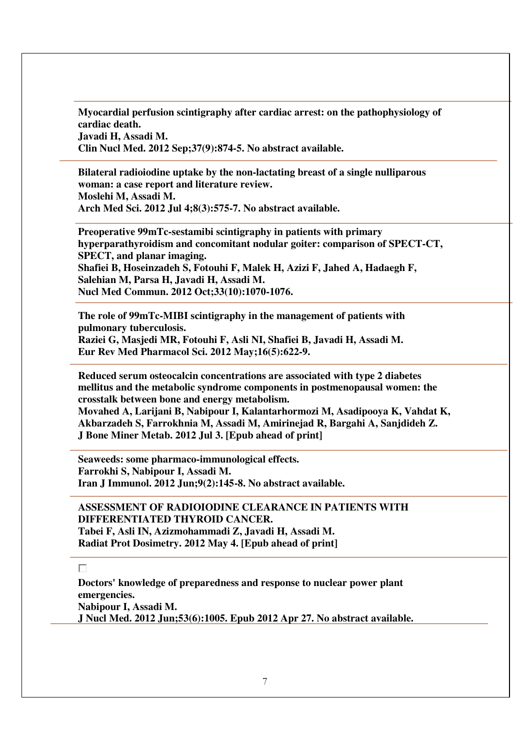**Myocardial perfusion scintigraphy after cardiac arrest: on the pathophysiology of cardiac death. Javadi H, Assadi M. Clin Nucl Med. 2012 Sep;37(9):874-5. No abstract available.** 

**Bilateral radioiodine uptake by the non-lactating breast of a single nulliparous woman: a case report and literature review. Moslehi M, Assadi M. Arch Med Sci. 2012 Jul 4;8(3):575-7. No abstract available.** 

**Preoperative 99mTc-sestamibi scintigraphy in patients with primary hyperparathyroidism and concomitant nodular goiter: comparison of SPECT-CT, SPECT, and planar imaging. Shafiei B, Hoseinzadeh S, Fotouhi F, Malek H, Azizi F, Jahed A, Hadaegh F, Salehian M, Parsa H, Javadi H, Assadi M. Nucl Med Commun. 2012 Oct;33(10):1070-1076.** 

**The role of 99mTc-MIBI scintigraphy in the management of patients with pulmonary tuberculosis.** 

**Raziei G, Masjedi MR, Fotouhi F, Asli NI, Shafiei B, Javadi H, Assadi M. Eur Rev Med Pharmacol Sci. 2012 May;16(5):622-9.** 

**Reduced serum osteocalcin concentrations are associated with type 2 diabetes mellitus and the metabolic syndrome components in postmenopausal women: the crosstalk between bone and energy metabolism.** 

**Movahed A, Larijani B, Nabipour I, Kalantarhormozi M, Asadipooya K, Vahdat K, Akbarzadeh S, Farrokhnia M, Assadi M, Amirinejad R, Bargahi A, Sanjdideh Z. J Bone Miner Metab. 2012 Jul 3. [Epub ahead of print]** 

**Seaweeds: some pharmaco-immunological effects. Farrokhi S, Nabipour I, Assadi M. Iran J Immunol. 2012 Jun;9(2):145-8. No abstract available.** 

**ASSESSMENT OF RADIOIODINE CLEARANCE IN PATIENTS WITH DIFFERENTIATED THYROID CANCER. Tabei F, Asli IN, Azizmohammadi Z, Javadi H, Assadi M. Radiat Prot Dosimetry. 2012 May 4. [Epub ahead of print]** 

#### П

**Doctors' knowledge of preparedness and response to nuclear power plant emergencies. Nabipour I, Assadi M. J Nucl Med. 2012 Jun;53(6):1005. Epub 2012 Apr 27. No abstract available.**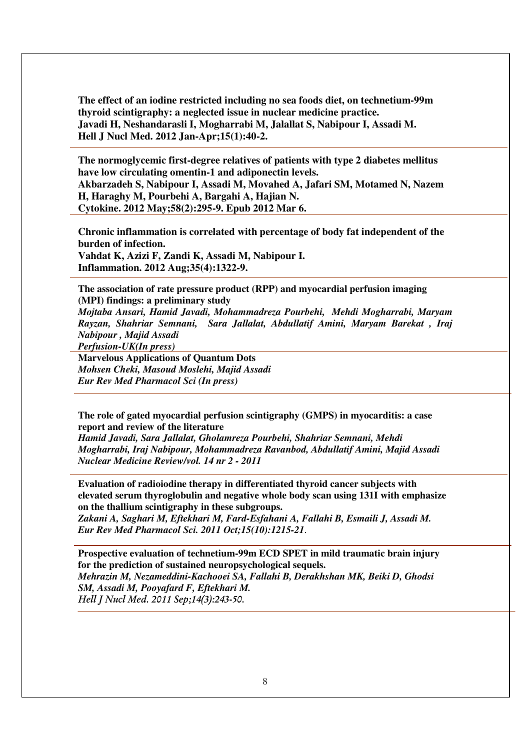**The effect of an iodine restricted including no sea foods diet, on technetium-99m thyroid scintigraphy: a neglected issue in nuclear medicine practice. Javadi H, Neshandarasli I, Mogharrabi M, Jalallat S, Nabipour I, Assadi M. Hell J Nucl Med. 2012 Jan-Apr;15(1):40-2.** 

**The normoglycemic first-degree relatives of patients with type 2 diabetes mellitus have low circulating omentin-1 and adiponectin levels. Akbarzadeh S, Nabipour I, Assadi M, Movahed A, Jafari SM, Motamed N, Nazem** 

**H, Haraghy M, Pourbehi A, Bargahi A, Hajian N. Cytokine. 2012 May;58(2):295-9. Epub 2012 Mar 6.** 

**Chronic inflammation is correlated with percentage of body fat independent of the burden of infection. Vahdat K, Azizi F, Zandi K, Assadi M, Nabipour I. Inflammation. 2012 Aug;35(4):1322-9.** 

**The association of rate pressure product (RPP) and myocardial perfusion imaging (MPI) findings: a preliminary study** 

*Mojtaba Ansari, Hamid Javadi, Mohammadreza Pourbehi, Mehdi Mogharrabi, Maryam Rayzan, Shahriar Semnani, Sara Jallalat, Abdullatif Amini, Maryam Barekat , Iraj Nabipour , Majid Assadi* 

*Perfusion-UK(In press)* 

**Marvelous Applications of Quantum Dots** *Mohsen Cheki, Masoud Moslehi, Majid Assadi Eur Rev Med Pharmacol Sci (In press)* 

**The role of gated myocardial perfusion scintigraphy (GMPS) in myocarditis: a case report and review of the literature** 

*Hamid Javadi, Sara Jallalat, Gholamreza Pourbehi, Shahriar Semnani, Mehdi Mogharrabi, Iraj Nabipour, Mohammadreza Ravanbod, Abdullatif Amini, Majid Assadi Nuclear Medicine Review/vol. 14 nr 2 - 2011* 

**Evaluation of radioiodine therapy in differentiated thyroid cancer subjects with elevated serum thyroglobulin and negative whole body scan using 131I with emphasize on the thallium scintigraphy in these subgroups.** 

*Zakani A, Saghari M, Eftekhari M, Fard-Esfahani A, Fallahi B, Esmaili J, Assadi M. Eur Rev Med Pharmacol Sci. 2011 Oct;15(10):1215-21*.

**Prospective evaluation of technetium-99m ECD SPET in mild traumatic brain injury for the prediction of sustained neuropsychological sequels.**  *Mehrazin M, Nezameddini-Kachooei SA, Fallahi B, Derakhshan MK, Beiki D, Ghodsi SM, Assadi M, Pooyafard F, Eftekhari M.*  Hell J Nucl Med. 2011 Sep;14(3):243-50.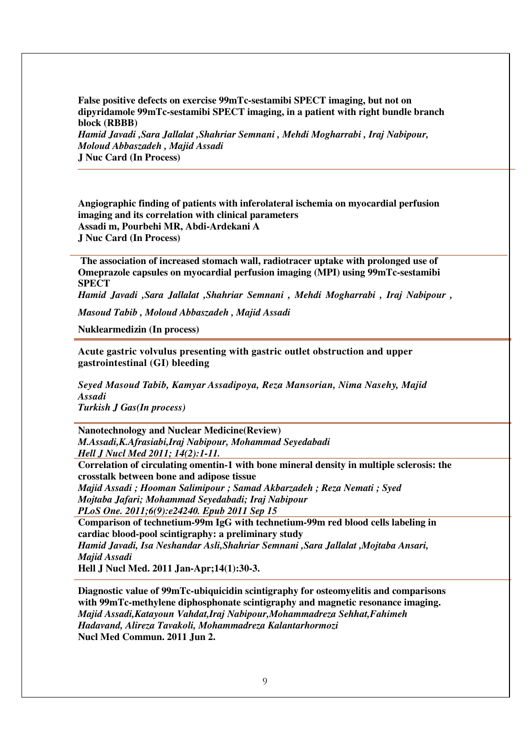**False positive defects on exercise 99mTc-sestamibi SPECT imaging, but not on dipyridamole 99mTc-sestamibi SPECT imaging, in a patient with right bundle branch block (RBBB)**  *Hamid Javadi ,Sara Jallalat ,Shahriar Semnani , Mehdi Mogharrabi , Iraj Nabipour, Moloud Abbaszadeh , Majid Assadi*  **J Nuc Card (In Process)** 

**Angiographic finding of patients with inferolateral ischemia on myocardial perfusion imaging and its correlation with clinical parameters Assadi m, Pourbehi MR, Abdi-Ardekani A J Nuc Card (In Process)** 

 **The association of increased stomach wall, radiotracer uptake with prolonged use of Omeprazole capsules on myocardial perfusion imaging (MPI) using 99mTc-sestamibi SPECT** 

*Hamid Javadi ,Sara Jallalat ,Shahriar Semnani , Mehdi Mogharrabi , Iraj Nabipour ,* 

*Masoud Tabib , Moloud Abbaszadeh , Majid Assadi* 

**Nuklearmedizin (In process)** 

**Acute gastric volvulus presenting with gastric outlet obstruction and upper gastrointestinal (GI) bleeding** 

*Seyed Masoud Tabib, Kamyar Assadipoya, Reza Mansorian, Nima Nasehy, Majid Assadi Turkish J Gas(In process)* 

**Nanotechnology and Nuclear Medicine(Review)** 

*M.Assadi,K.Afrasiabi,Iraj Nabipour, Mohammad Seyedabadi Hell J Nucl Med 2011; 14(2):1-11.* 

**Correlation of circulating omentin-1 with bone mineral density in multiple sclerosis: the crosstalk between bone and adipose tissue**

*Majid Assadi ; Hooman Salimipour ; Samad Akbarzadeh ; Reza Nemati ; Syed Mojtaba Jafari; Mohammad Seyedabadi; Iraj Nabipour PLoS One. 2011;6(9):e24240. Epub 2011 Sep 15* 

**Comparison of technetium-99m IgG with technetium-99m red blood cells labeling in cardiac blood-pool scintigraphy: a preliminary study**  *Hamid Javadi, Isa Neshandar Asli,Shahriar Semnani ,Sara Jallalat ,Mojtaba Ansari, Majid Assadi* 

**Hell J Nucl Med. 2011 Jan-Apr;14(1):30-3.** 

**Diagnostic value of 99mTc-ubiquicidin scintigraphy for osteomyelitis and comparisons with 99mTc-methylene diphosphonate scintigraphy and magnetic resonance imaging.**  *Majid Assadi,Katayoun Vahdat,Iraj Nabipour,Mohammadreza Sehhat,Fahimeh Hadavand, Alireza Tavakoli, Mohammadreza Kalantarhormozi*  **Nucl Med Commun. 2011 Jun 2.**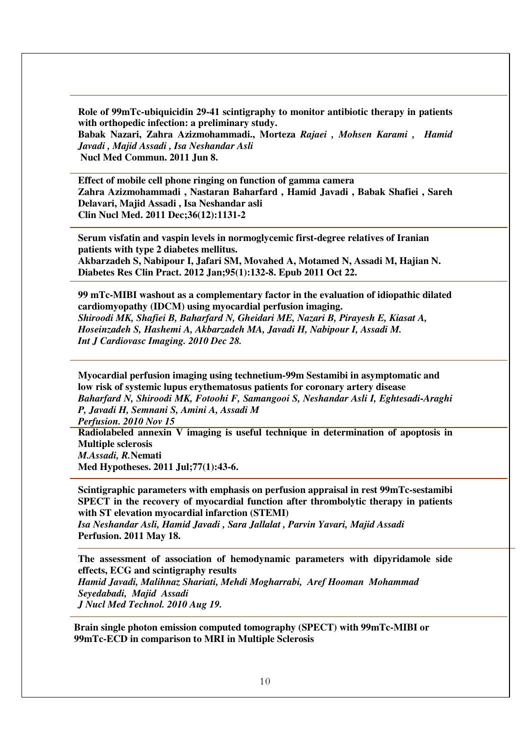**Role of 99mTc-ubiquicidin 29-41 scintigraphy to monitor antibiotic therapy in patients with orthopedic infection: a preliminary study. Babak Nazari, Zahra Azizmohammadi., Morteza** *Rajaei , Mohsen Karami , Hamid Javadi , Majid Assadi , Isa Neshandar Asli*  **Nucl Med Commun. 2011 Jun 8.**

**Effect of mobile cell phone ringing on function of gamma camera Zahra Azizmohammadi , Nastaran Baharfard , Hamid Javadi , Babak Shafiei , Sareh Delavari, Majid Assadi , Isa Neshandar asli Clin Nucl Med. 2011 Dec;36(12):1131-2** 

**Serum visfatin and vaspin levels in normoglycemic first-degree relatives of Iranian patients with type 2 diabetes mellitus. Akbarzadeh S, Nabipour I, Jafari SM, Movahed A, Motamed N, Assadi M, Hajian N. Diabetes Res Clin Pract. 2012 Jan;95(1):132-8. Epub 2011 Oct 22.** 

**99 mTc-MIBI washout as a complementary factor in the evaluation of idiopathic dilated cardiomyopathy (IDCM) using myocardial perfusion imaging.**  *Shiroodi MK, Shafiei B, Baharfard N, Gheidari ME, Nazari B, Pirayesh E, Kiasat A, Hoseinzadeh S, Hashemi A, Akbarzadeh MA, Javadi H, Nabipour I, Assadi M. Int J Cardiovasc Imaging. 2010 Dec 28.* 

**Myocardial perfusion imaging using technetium-99m Sestamibi in asymptomatic and low risk of systemic lupus erythematosus patients for coronary artery disease**  *Baharfard N, Shiroodi MK, Fotoohi F, Samangooi S, Neshandar Asli I, Eghtesadi-Araghi P, Javadi H, Semnani S, Amini A, Assadi M* 

*Perfusion. 2010 Nov 15* 

**Radiolabeled annexin V imaging is useful technique in determination of apoptosis in Multiple sclerosis**  *M.Assadi, R.***Nemati Med Hypotheses. 2011 Jul;77(1):43-6.** 

**Scintigraphic parameters with emphasis on perfusion appraisal in rest 99mTc-sestamibi SPECT in the recovery of myocardial function after thrombolytic therapy in patients with ST elevation myocardial infarction (STEMI)** 

*Isa Neshandar Asli, Hamid Javadi , Sara Jallalat , Parvin Yavari, Majid Assadi*  **Perfusion. 2011 May 18.** 

**The assessment of association of hemodynamic parameters with dipyridamole side effects, ECG and scintigraphy results**  *Hamid Javadi, Malihnaz Shariati, Mehdi Mogharrabi, Aref Hooman Mohammad Seyedabadi, Majid Assadi J Nucl Med Technol. 2010 Aug 19.* 

**Brain single photon emission computed tomography (SPECT) with 99mTc-MIBI or 99mTc-ECD in comparison to MRI in Multiple Sclerosis**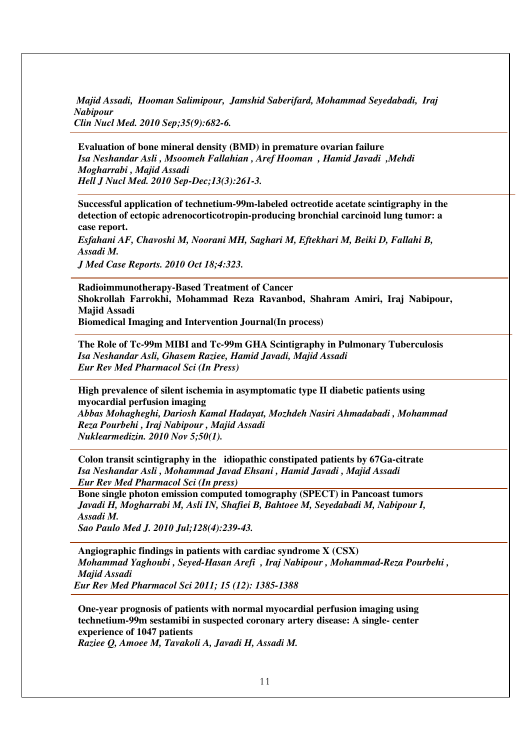*Majid Assadi, Hooman Salimipour, Jamshid Saberifard, Mohammad Seyedabadi, Iraj Nabipour Clin Nucl Med. 2010 Sep;35(9):682-6.* 

**Evaluation of bone mineral density (BMD) in premature ovarian failure**  *Isa Neshandar Asli , Msoomeh Fallahian , Aref Hooman , Hamid Javadi ,Mehdi Mogharrabi , Majid Assadi Hell J Nucl Med. 2010 Sep-Dec;13(3):261-3.* 

**Successful application of technetium-99m-labeled octreotide acetate scintigraphy in the detection of ectopic adrenocorticotropin-producing bronchial carcinoid lung tumor: a case report.** 

*Esfahani AF, Chavoshi M, Noorani MH, Saghari M, Eftekhari M, Beiki D, Fallahi B, Assadi M.* 

*J Med Case Reports. 2010 Oct 18;4:323.* 

**Radioimmunotherapy-Based Treatment of Cancer Shokrollah Farrokhi, Mohammad Reza Ravanbod, Shahram Amiri, Iraj Nabipour, Majid Assadi Biomedical Imaging and Intervention Journal(In process)** 

**The Role of Tc-99m MIBI and Tc-99m GHA Scintigraphy in Pulmonary Tuberculosis** *Isa Neshandar Asli, Ghasem Raziee, Hamid Javadi, Majid Assadi Eur Rev Med Pharmacol Sci (In Press)* 

**High prevalence of silent ischemia in asymptomatic type II diabetic patients using myocardial perfusion imaging** 

*Abbas Mohagheghi, Dariosh Kamal Hadayat, Mozhdeh Nasiri Ahmadabadi , Mohammad Reza Pourbehi , Iraj Nabipour , Majid Assadi Nuklearmedizin. 2010 Nov 5;50(1).* 

**Colon transit scintigraphy in the idiopathic constipated patients by 67Ga-citrate**  *Isa Neshandar Asli , Mohammad Javad Ehsani , Hamid Javadi , Majid Assadi Eur Rev Med Pharmacol Sci (In press)* 

**Bone single photon emission computed tomography (SPECT) in Pancoast tumors**  *Javadi H, Mogharrabi M, Asli IN, Shafiei B, Bahtoee M, Seyedabadi M, Nabipour I, Assadi M.* 

*Sao Paulo Med J. 2010 Jul;128(4):239-43.* 

**Angiographic findings in patients with cardiac syndrome X (CSX)**  *Mohammad Yaghoubi , Seyed-Hasan Arefi , Iraj Nabipour , Mohammad-Reza Pourbehi , Majid Assadi Eur Rev Med Pharmacol Sci 2011; 15 (12): 1385-1388* 

**One-year prognosis of patients with normal myocardial perfusion imaging using technetium-99m sestamibi in suspected coronary artery disease: A single- center experience of 1047 patients** 

*Raziee Q, Amoee M, Tavakoli A, Javadi H, Assadi M.*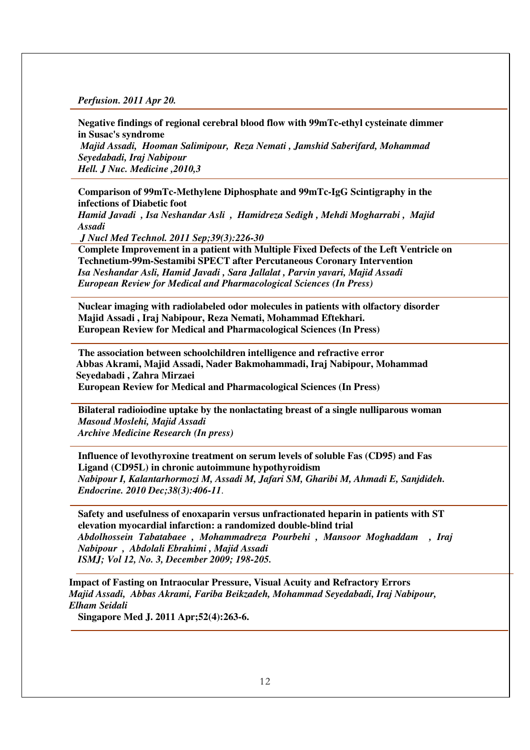*Perfusion. 2011 Apr 20.* 

**Negative findings of regional cerebral blood flow with 99mTc-ethyl cysteinate dimmer in Susac's syndrome**  *Majid Assadi, Hooman Salimipour, Reza Nemati , Jamshid Saberifard, Mohammad Seyedabadi, Iraj Nabipour Hell. J Nuc. Medicine ,2010,3* 

**Comparison of 99mTc-Methylene Diphosphate and 99mTc-IgG Scintigraphy in the infections of Diabetic foot** 

*Hamid Javadi , Isa Neshandar Asli , Hamidreza Sedigh , Mehdi Mogharrabi , Majid Assadi* 

 *J Nucl Med Technol. 2011 Sep;39(3):226-30* 

**Complete Improvement in a patient with Multiple Fixed Defects of the Left Ventricle on Technetium-99m-Sestamibi SPECT after Percutaneous Coronary Intervention**  *Isa Neshandar Asli, Hamid Javadi , Sara Jallalat , Parvin yavari, Majid Assadi European Review for Medical and Pharmacological Sciences (In Press)* 

**Nuclear imaging with radiolabeled odor molecules in patients with olfactory disorder Majid Assadi , Iraj Nabipour, Reza Nemati, Mohammad Eftekhari. European Review for Medical and Pharmacological Sciences (In Press)** 

**The association between schoolchildren intelligence and refractive error Abbas Akrami, Majid Assadi, Nader Bakmohammadi, Iraj Nabipour, Mohammad Seyedabadi , Zahra Mirzaei European Review for Medical and Pharmacological Sciences (In Press)** 

**Bilateral radioiodine uptake by the nonlactating breast of a single nulliparous woman**  *Masoud Moslehi, Majid Assadi Archive Medicine Research (In press)* 

**Influence of levothyroxine treatment on serum levels of soluble Fas (CD95) and Fas Ligand (CD95L) in chronic autoimmune hypothyroidism**  *Nabipour I, Kalantarhormozi M, Assadi M, Jafari SM, Gharibi M, Ahmadi E, Sanjdideh. Endocrine. 2010 Dec;38(3):406-11*.

**Safety and usefulness of enoxaparin versus unfractionated heparin in patients with ST elevation myocardial infarction: a randomized double-blind trial**  *Abdolhossein Tabatabaee , Mohammadreza Pourbehi , Mansoor Moghaddam , Iraj Nabipour , Abdolali Ebrahimi , Majid Assadi ISMJ; Vol 12, No. 3, December 2009; 198-205.* 

**Impact of Fasting on Intraocular Pressure, Visual Acuity and Refractory Errors**  *Majid Assadi, Abbas Akrami, Fariba Beikzadeh, Mohammad Seyedabadi, Iraj Nabipour, Elham Seidali* 

**Singapore Med J. 2011 Apr;52(4):263-6.**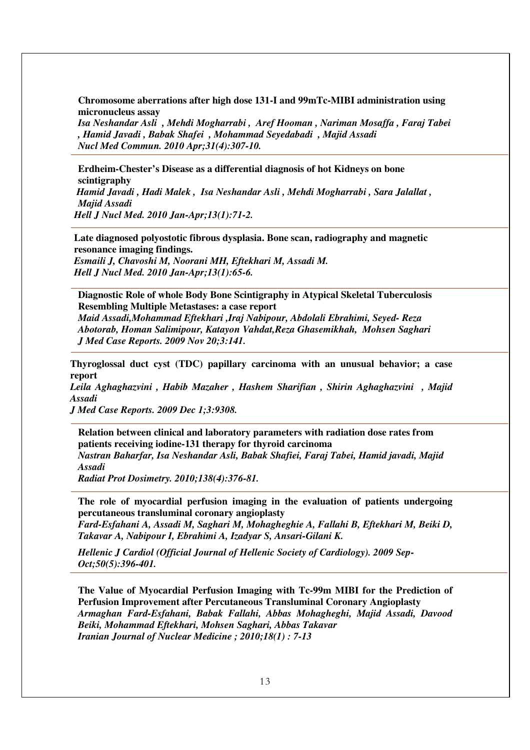**Chromosome aberrations after high dose 131-I and 99mTc-MIBI administration using micronucleus assay** 

*Isa Neshandar Asli , Mehdi Mogharrabi , Aref Hooman , Nariman Mosaffa , Faraj Tabei , Hamid Javadi , Babak Shafei , Mohammad Seyedabadi , Majid Assadi Nucl Med Commun. 2010 Apr;31(4):307-10.* 

**Erdheim-Chester's Disease as a differential diagnosis of hot Kidneys on bone scintigraphy**   *Hamid Javadi , Hadi Malek , Isa Neshandar Asli , Mehdi Mogharrabi , Sara Jalallat , Majid Assadi Hell J Nucl Med. 2010 Jan-Apr;13(1):71-2.* 

**Late diagnosed polyostotic fibrous dysplasia. Bone scan, radiography and magnetic resonance imaging findings.**  *Esmaili J, Chavoshi M, Noorani MH, Eftekhari M, Assadi M. Hell J Nucl Med. 2010 Jan-Apr;13(1):65-6.*

**Diagnostic Role of whole Body Bone Scintigraphy in Atypical Skeletal Tuberculosis Resembling Multiple Metastases: a case report** *Maid Assadi,Mohammad Eftekhari ,Iraj Nabipour, Abdolali Ebrahimi, Seyed- Reza Abotorab, Homan Salimipour, Katayon Vahdat,Reza Ghasemikhah, Mohsen Saghari J Med Case Reports. 2009 Nov 20;3:141.* 

**Thyroglossal duct cyst (TDC) papillary carcinoma with an unusual behavior; a case report** 

*Leila Aghaghazvini , Habib Mazaher , Hashem Sharifian , Shirin Aghaghazvini , Majid Assadi* 

*J Med Case Reports. 2009 Dec 1;3:9308.* 

**Relation between clinical and laboratory parameters with radiation dose rates from patients receiving iodine-131 therapy for thyroid carcinoma**  *Nastran Baharfar, Isa Neshandar Asli, Babak Shafiei, Faraj Tabei, Hamid javadi, Majid Assadi* 

*Radiat Prot Dosimetry. 2010;138(4):376-81.* 

**The role of myocardial perfusion imaging in the evaluation of patients undergoing percutaneous transluminal coronary angioplasty** 

*Fard-Esfahani A, Assadi M, Saghari M, Mohagheghie A, Fallahi B, Eftekhari M, Beiki D, Takavar A, Nabipour I, Ebrahimi A, Izadyar S, Ansari-Gilani K.*

*Hellenic J Cardiol (Official Journal of Hellenic Society of Cardiology). 2009 Sep-Oct;50(5):396-401.* 

**The Value of Myocardial Perfusion Imaging with Tc-99m MIBI for the Prediction of Perfusion Improvement after Percutaneous Transluminal Coronary Angioplasty**  *Armaghan Fard-Esfahani, Babak Fallahi, Abbas Mohagheghi, Majid Assadi, Davood Beiki, Mohammad Eftekhari, Mohsen Saghari, Abbas Takavar Iranian Journal of Nuclear Medicine ; 2010;18(1) : 7-13*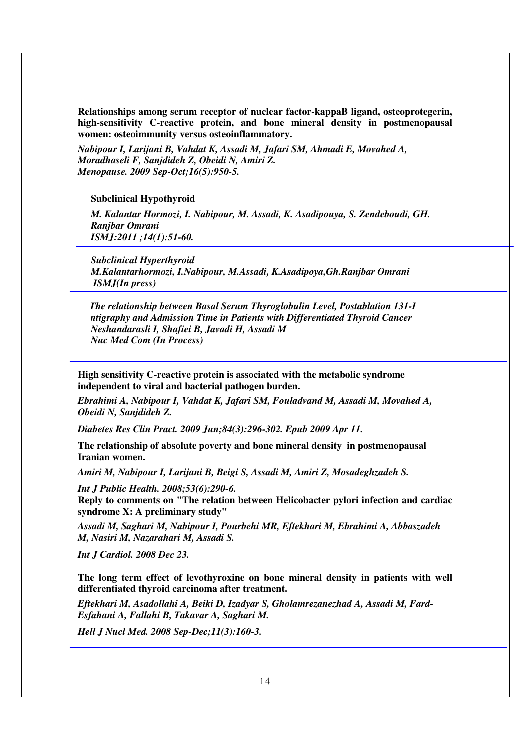**Relationships among serum receptor of nuclear factor-kappaB ligand, osteoprotegerin, high-sensitivity C-reactive protein, and bone mineral density in postmenopausal women: osteoimmunity versus osteoinflammatory.** 

*Nabipour I, Larijani B, Vahdat K, Assadi M, Jafari SM, Ahmadi E, Movahed A, Moradhaseli F, Sanjdideh Z, Obeidi N, Amiri Z. Menopause. 2009 Sep-Oct;16(5):950-5.* 

#### **Subclinical Hypothyroid**

*M. Kalantar Hormozi, I. Nabipour, M. Assadi, K. Asadipouya, S. Zendeboudi, GH. Ranjbar Omrani ISMJ:2011 ;14(1):51-60.* 

*Subclinical Hyperthyroid M.Kalantarhormozi, I.Nabipour, M.Assadi, K.Asadipoya,Gh.Ranjbar Omrani ISMJ(In press)* 

*hThe relationship between Basal Serum Thyroglobulin Level, Postablation 131-I Scintigraphy and Admission Time in Patients with Differentiated Thyroid Cancer Neshandarasli I, Shafiei B, Javadi H, Assadi M Nuc Med Com (In Process)*

**High sensitivity C-reactive protein is associated with the metabolic syndrome independent to viral and bacterial pathogen burden.**

*Ebrahimi A, Nabipour I, Vahdat K, Jafari SM, Fouladvand M, Assadi M, Movahed A, Obeidi N, Sanjdideh Z.* 

*Diabetes Res Clin Pract. 2009 Jun;84(3):296-302. Epub 2009 Apr 11.* 

**The relationship of absolute poverty and bone mineral density in postmenopausal Iranian women.** 

*Amiri M, Nabipour I, Larijani B, Beigi S, Assadi M, Amiri Z, Mosadeghzadeh S.* 

*Int J Public Health. 2008;53(6):290-6.* 

**Reply to comments on "The relation between Helicobacter pylori infection and cardiac syndrome X: A preliminary study"** 

*Assadi M, Saghari M, Nabipour I, Pourbehi MR, Eftekhari M, Ebrahimi A, Abbaszadeh M, Nasiri M, Nazarahari M, Assadi S.* 

*Int J Cardiol. 2008 Dec 23.* 

**The long term effect of levothyroxine on bone mineral density in patients with well differentiated thyroid carcinoma after treatment.** 

*Eftekhari M, Asadollahi A, Beiki D, Izadyar S, Gholamrezanezhad A, Assadi M, Fard-Esfahani A, Fallahi B, Takavar A, Saghari M.* 

*Hell J Nucl Med. 2008 Sep-Dec;11(3):160-3.*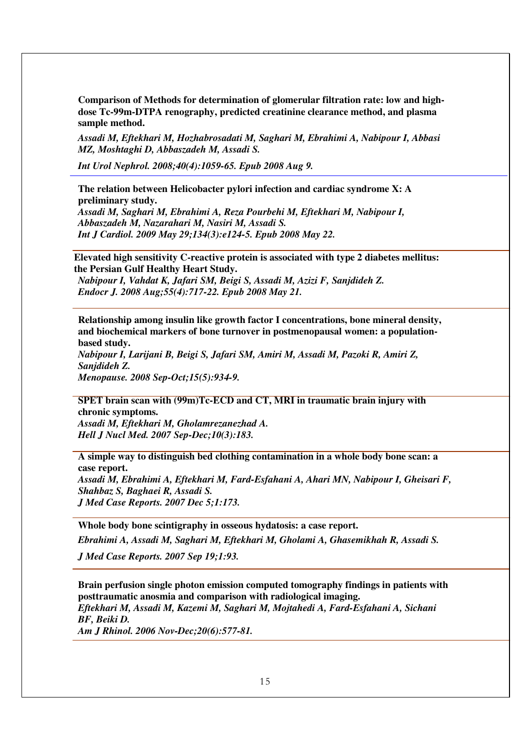**Comparison of Methods for determination of glomerular filtration rate: low and highdose Tc-99m-DTPA renography, predicted creatinine clearance method, and plasma sample method.** 

*Assadi M, Eftekhari M, Hozhabrosadati M, Saghari M, Ebrahimi A, Nabipour I, Abbasi MZ, Moshtaghi D, Abbaszadeh M, Assadi S.* 

*Int Urol Nephrol. 2008;40(4):1059-65. Epub 2008 Aug 9.* 

**The relation between Helicobacter pylori infection and cardiac syndrome X: A preliminary study.**  *Assadi M, Saghari M, Ebrahimi A, Reza Pourbehi M, Eftekhari M, Nabipour I,* 

*Abbaszadeh M, Nazarahari M, Nasiri M, Assadi S. Int J Cardiol. 2009 May 29;134(3):e124-5. Epub 2008 May 22.* 

**Elevated high sensitivity C-reactive protein is associated with type 2 diabetes mellitus: the Persian Gulf Healthy Heart Study.** 

*Nabipour I, Vahdat K, Jafari SM, Beigi S, Assadi M, Azizi F, Sanjdideh Z. Endocr J. 2008 Aug;55(4):717-22. Epub 2008 May 21.* 

**Relationship among insulin like growth factor I concentrations, bone mineral density, and biochemical markers of bone turnover in postmenopausal women: a populationbased study.** 

*Nabipour I, Larijani B, Beigi S, Jafari SM, Amiri M, Assadi M, Pazoki R, Amiri Z, Sanjdideh Z.* 

*Menopause. 2008 Sep-Oct;15(5):934-9.* 

**SPET brain scan with (99m)Tc-ECD and CT, MRI in traumatic brain injury with chronic symptoms.** 

*Assadi M, Eftekhari M, Gholamrezanezhad A. Hell J Nucl Med. 2007 Sep-Dec;10(3):183.* 

**A simple way to distinguish bed clothing contamination in a whole body bone scan: a case report.** 

*Assadi M, Ebrahimi A, Eftekhari M, Fard-Esfahani A, Ahari MN, Nabipour I, Gheisari F, Shahbaz S, Baghaei R, Assadi S. J Med Case Reports. 2007 Dec 5;1:173.* 

**Whole body bone scintigraphy in osseous hydatosis: a case report.** 

*Ebrahimi A, Assadi M, Saghari M, Eftekhari M, Gholami A, Ghasemikhah R, Assadi S.* 

*J Med Case Reports. 2007 Sep 19;1:93.* 

**Brain perfusion single photon emission computed tomography findings in patients with posttraumatic anosmia and comparison with radiological imaging.**  *Eftekhari M, Assadi M, Kazemi M, Saghari M, Mojtahedi A, Fard-Esfahani A, Sichani BF, Beiki D. Am J Rhinol. 2006 Nov-Dec;20(6):577-81.*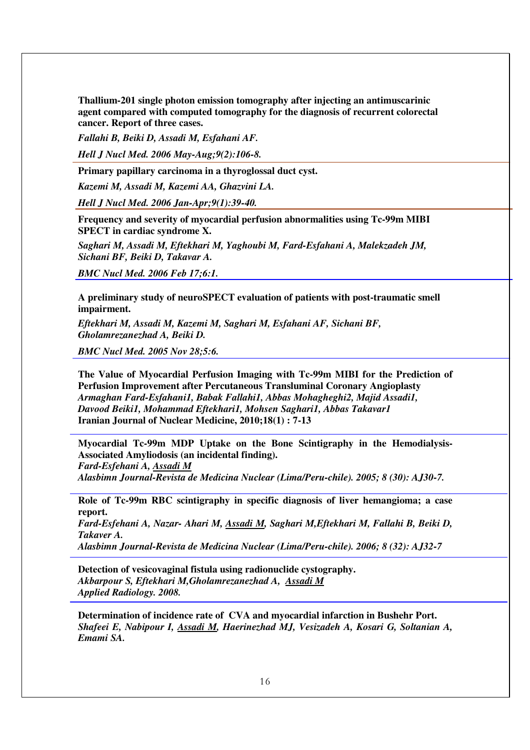**Thallium-201 single photon emission tomography after injecting an antimuscarinic agent compared with computed tomography for the diagnosis of recurrent colorectal cancer. Report of three cases.** 

*Fallahi B, Beiki D, Assadi M, Esfahani AF.* 

*Hell J Nucl Med. 2006 May-Aug;9(2):106-8.* 

**Primary papillary carcinoma in a thyroglossal duct cyst.** 

*Kazemi M, Assadi M, Kazemi AA, Ghazvini LA.* 

*Hell J Nucl Med. 2006 Jan-Apr;9(1):39-40.* 

**Frequency and severity of myocardial perfusion abnormalities using Tc-99m MIBI SPECT in cardiac syndrome X.** 

*Saghari M, Assadi M, Eftekhari M, Yaghoubi M, Fard-Esfahani A, Malekzadeh JM, Sichani BF, Beiki D, Takavar A.* 

*BMC Nucl Med. 2006 Feb 17;6:1.* 

**A preliminary study of neuroSPECT evaluation of patients with post-traumatic smell impairment.** 

*Eftekhari M, Assadi M, Kazemi M, Saghari M, Esfahani AF, Sichani BF, Gholamrezanezhad A, Beiki D.* 

*BMC Nucl Med. 2005 Nov 28;5:6.* 

**The Value of Myocardial Perfusion Imaging with Tc-99m MIBI for the Prediction of Perfusion Improvement after Percutaneous Transluminal Coronary Angioplasty**  *Armaghan Fard-Esfahani1, Babak Fallahi1, Abbas Mohagheghi2, Majid Assadi1, Davood Beiki1, Mohammad Eftekhari1, Mohsen Saghari1, Abbas Takavar1*  **Iranian Journal of Nuclear Medicine, 2010;18(1) : 7-13** 

**Myocardial Tc-99m MDP Uptake on the Bone Scintigraphy in the Hemodialysis-Associated Amyliodosis (an incidental finding).**  *Fard-Esfehani A, Assadi M Alasbimn Journal-Revista de Medicina Nuclear (Lima/Peru-chile). 2005; 8 (30): AJ30-7.* 

**Role of Tc-99m RBC scintigraphy in specific diagnosis of liver hemangioma; a case report.**  *Fard-Esfehani A, Nazar- Ahari M, Assadi M, Saghari M,Eftekhari M, Fallahi B, Beiki D, Takaver A. Alasbimn Journal-Revista de Medicina Nuclear (Lima/Peru-chile). 2006; 8 (32): AJ32-7* 

**Detection of vesicovaginal fistula using radionuclide cystography.**  *Akbarpour S, Eftekhari M,Gholamrezanezhad A, Assadi M Applied Radiology. 2008.* 

**Determination of incidence rate of CVA and myocardial infarction in Bushehr Port.**  *Shafeei E, Nabipour I, Assadi M, Haerinezhad MJ, Vesizadeh A, Kosari G, Soltanian A, Emami SA.*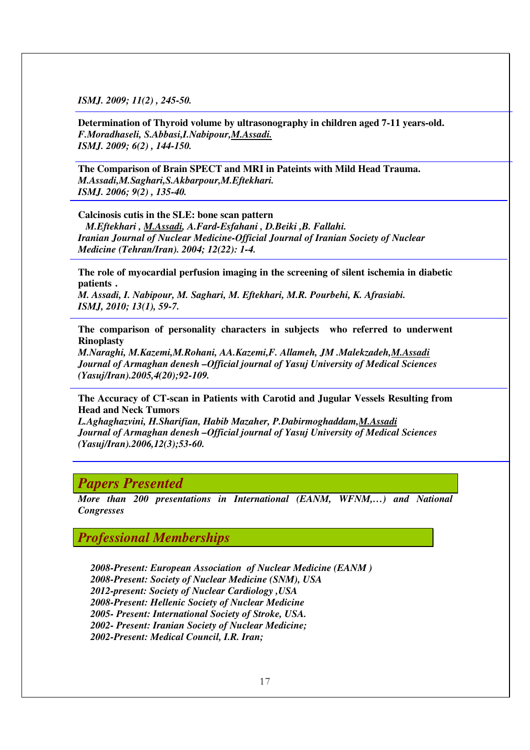*ISMJ. 2009; 11(2) , 245-50.* 

**Determination of Thyroid volume by ultrasonography in children aged 7-11 years-old.**  *F.Moradhaseli, S.Abbasi,I.Nabipour,M.Assadi. ISMJ. 2009; 6(2) , 144-150.* 

**The Comparison of Brain SPECT and MRI in Pateints with Mild Head Trauma.**  *M.Assadi,M.Saghari,S.Akbarpour,M.Eftekhari. ISMJ. 2006; 9(2) , 135-40.* 

**Calcinosis cutis in the SLE: bone scan pattern** 

 *M.Eftekhari , M.Assadi, A.Fard-Esfahani , D.Beiki ,B. Fallahi. Iranian Journal of Nuclear Medicine-Official Journal of Iranian Society of Nuclear Medicine (Tehran/Iran). 2004; 12(22): 1-4.* 

**The role of myocardial perfusion imaging in the screening of silent ischemia in diabetic patients .** 

*M. Assadi, I. Nabipour, M. Saghari, M. Eftekhari, M.R. Pourbehi, K. Afrasiabi. ISMJ, 2010; 13(1), 59-7.* 

**The comparison of personality characters in subjects who referred to underwent Rinoplasty** 

*M.Naraghi, M.Kazemi,M.Rohani, AA.Kazemi,F. Allameh, JM .Malekzadeh,M.Assadi Journal of Armaghan denesh –Official journal of Yasuj University of Medical Sciences (Yasuj/Iran).2005,4(20);92-109.* 

**The Accuracy of CT-scan in Patients with Carotid and Jugular Vessels Resulting from Head and Neck Tumors** 

*L.Aghaghazvini, H.Sharifian, Habib Mazaher, P.Dabirmoghaddam,M.Assadi Journal of Armaghan denesh –Official journal of Yasuj University of Medical Sciences (Yasuj/Iran).2006,12(3);53-60.* 

#### *Papers Presented*

*More than 200 presentations in International (EANM, WFNM,…) and National Congresses* 

*Professional Memberships* 

*2008-Present: European Association of Nuclear Medicine (EANM ) 2008-Present: Society of Nuclear Medicine (SNM), USA 2012-present: Society of Nuclear Cardiology ,USA 2008-Present: Hellenic Society of Nuclear Medicine 2005- Present: International Society of Stroke, USA. 2002- Present: Iranian Society of Nuclear Medicine; 2002-Present: Medical Council, I.R. Iran;*